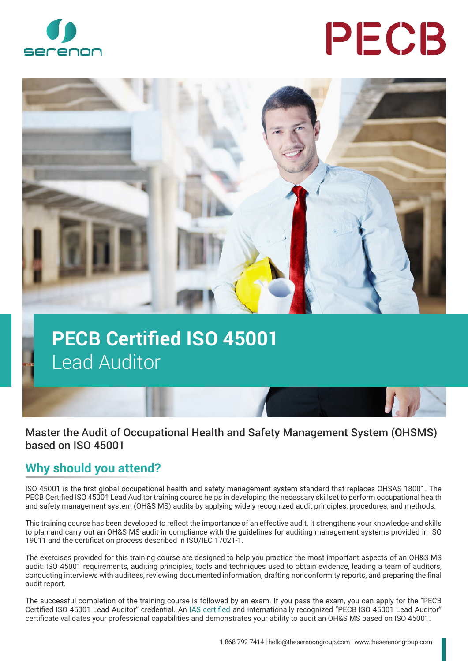

# PECB



## **PECB Certified ISO 45001**  Lead Auditor

#### Master the Audit of Occupational Health and Safety Management System (OHSMS) based on ISO 45001

#### **Why should you attend?**

ISO 45001 is the first global occupational health and safety management system standard that replaces OHSAS 18001. The PECB Certified ISO 45001 Lead Auditor training course helps in developing the necessary skillset to perform occupational health and safety management system (OH&S MS) audits by applying widely recognized audit principles, procedures, and methods.

This training course has been developed to reflect the importance of an effective audit. It strengthens your knowledge and skills to plan and carry out an OH&S MS audit in compliance with the guidelines for auditing management systems provided in ISO 19011 and the certification process described in ISO/IEC 17021-1.

The exercises provided for this training course are designed to help you practice the most important aspects of an OH&S MS audit: ISO 45001 requirements, auditing principles, tools and techniques used to obtain evidence, leading a team of auditors, conducting interviews with auditees, reviewing documented information, drafting nonconformity reports, and preparing the final audit report.

The successful completion of the training course is followed by an exam. If you pass the exam, you can apply for the "PECB Certified ISO 45001 Lead Auditor" credential. An [IAS certified](https://www.iasonline.org/wp-content/uploads/2017/05/PCB-111.pdf) and internationally recognized "PECB ISO 45001 Lead Auditor" certificate validates your professional capabilities and demonstrates your ability to audit an OH&S MS based on ISO 45001.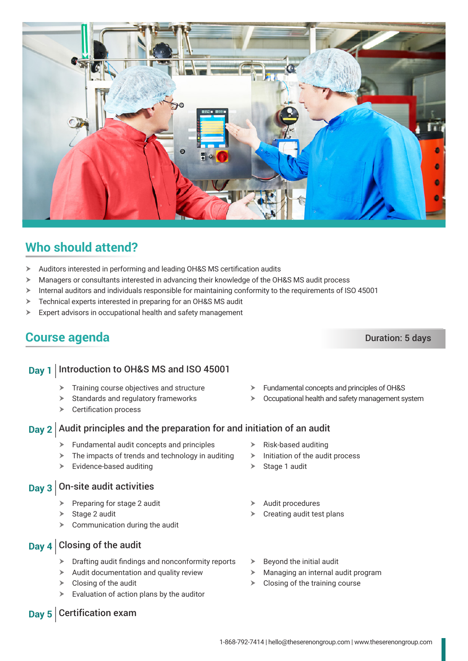### **Who should attend?**

- > Auditors interested in performing and leading OH&S MS certification audits
- $\triangleright$  Managers or consultants interested in advancing their knowledge of the OH&S MS audit process
- $\triangleright$  Internal auditors and individuals responsible for maintaining conformity to the requirements of ISO 45001
- $\triangleright$  Technical experts interested in preparing for an OH&S MS audit
- $\triangleright$  Expert advisors in occupational health and safety management

#### **Course agenda** Duration: 5 days

#### **Day 1** Introduction to OH&S MS and ISO 45001

- $\blacktriangleright$  Training course objectives and structure
- $\blacktriangleright$  Standards and regulatory frameworks
- $\triangleright$  Certification process

#### **Day 2** Audit principles and the preparation for and initiation of an audit

- $\blacktriangleright$  Fundamental audit concepts and principles
- $\triangleright$  The impacts of trends and technology in auditing
- $\triangleright$  Evidence-based auditing

#### **Day 3** On-site audit activities

- Preparing for stage 2 audit
- $\triangleright$  Stage 2 audit
- Communication during the audit

#### **Day 4** Closing of the audit

**Day 5** Certification exam

- $\triangleright$  Drafting audit findings and nonconformity reports
- $\blacktriangleright$  Audit documentation and quality review
- $\triangleright$  Closing of the audit
- $\triangleright$  Evaluation of action plans by the auditor
- Beyond the initial audit
- Managing an internal audit program
- $\triangleright$  Closing of the training course
- $\triangleright$  Fundamental concepts and principles of OH&S
- $\geqslant$  Occupational health and safety management system
- $\triangleright$  Risk-based auditing
- $\blacktriangleright$  Initiation of the audit process
- $\triangleright$  Stage 1 audit
- Audit procedures
- Creating audit test plans



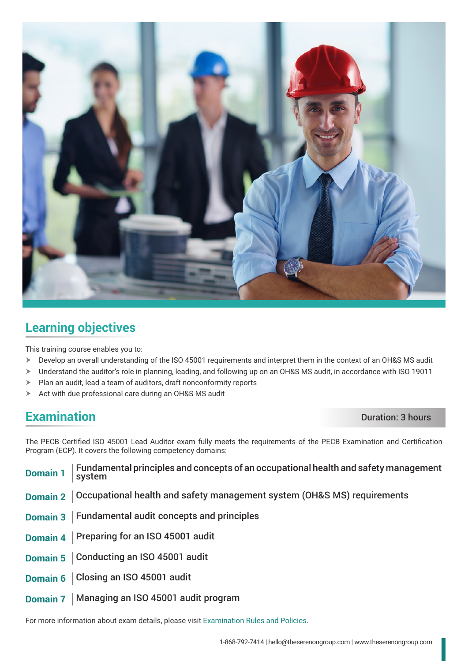

#### **Learning objectives**

This training course enables you to:

- h Develop an overall understanding of the ISO 45001 requirements and interpret them in the context of an OH&S MS audit
- > Understand the auditor's role in planning, leading, and following up on an OH&S MS audit, in accordance with ISO 19011
- $\blacktriangleright$  Plan an audit, lead a team of auditors, draft nonconformity reports
- $\triangleright$  Act with due professional care during an OH&S MS audit

#### **Examination** Duration **Duration**

The PECB Certified ISO 45001 Lead Auditor exam fully meets the requirements of the PECB Examination and Certification Program (ECP). It covers the following competency domains:

| <b>Domain 1</b> | Fundamental principles and concepts of an occupational health and safety management<br>  system |
|-----------------|-------------------------------------------------------------------------------------------------|
|                 | Domain 2   Occupational health and safety management system (OH&S MS) requirements              |
|                 | Domain 3   Fundamental audit concepts and principles                                            |
|                 | Domain 4   Preparing for an ISO 45001 audit                                                     |
|                 | Domain 5   Conducting an ISO 45001 audit                                                        |
|                 | Domain 6   Closing an ISO 45001 audit                                                           |
|                 | Domain 7   Managing an ISO 45001 audit program                                                  |

For more information about exam details, please visit [Examination Rules and Policies](https://pecb.com/en/examination-rules-and-policies).